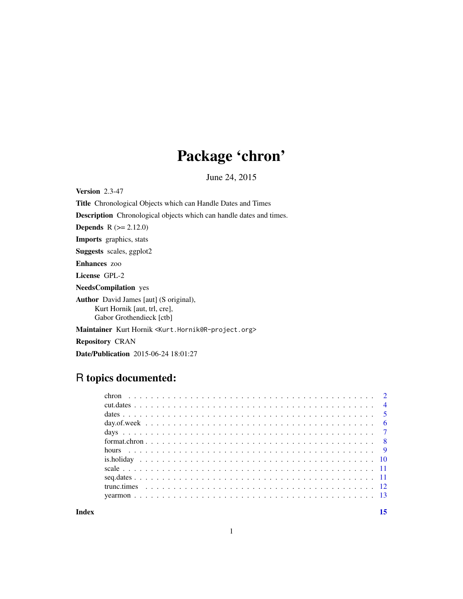# Package 'chron'

June 24, 2015

<span id="page-0-0"></span>Version 2.3-47

Title Chronological Objects which can Handle Dates and Times

Description Chronological objects which can handle dates and times.

**Depends**  $R (= 2.12.0)$ 

Imports graphics, stats

Suggests scales, ggplot2

Enhances zoo

License GPL-2

NeedsCompilation yes

Author David James [aut] (S original), Kurt Hornik [aut, trl, cre], Gabor Grothendieck [ctb]

Maintainer Kurt Hornik <Kurt.Hornik@R-project.org>

Repository CRAN

Date/Publication 2015-06-24 18:01:27

# R topics documented:

**Index** [15](#page-14-0)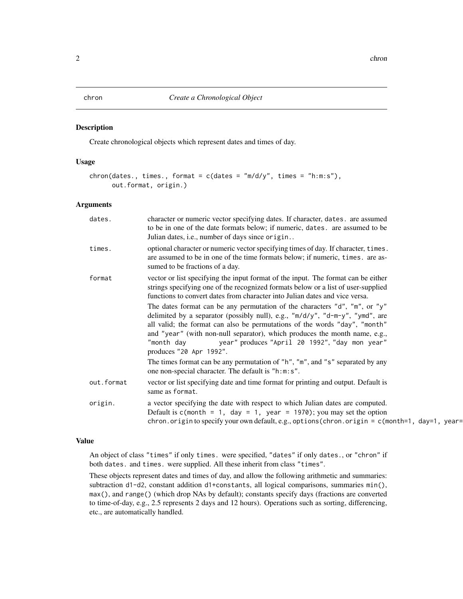#### <span id="page-1-2"></span><span id="page-1-1"></span><span id="page-1-0"></span>Description

Create chronological objects which represent dates and times of day.

#### Usage

```
chron(dates., times., format = c(dates = "m/d/y", times = "h:m:s"),
     out.format, origin.)
```
#### Arguments

| character or numeric vector specifying dates. If character, dates. are assumed<br>dates.<br>to be in one of the date formats below; if numeric, dates. are assumed to be<br>Julian dates, i.e., number of days since origin<br>optional character or numeric vector specifying times of day. If character, times.<br>times.<br>are assumed to be in one of the time formats below; if numeric, times. are as-<br>sumed to be fractions of a day.<br>vector or list specifying the input format of the input. The format can be either<br>format<br>strings specifying one of the recognized formats below or a list of user-supplied<br>functions to convert dates from character into Julian dates and vice versa.<br>The dates format can be any permutation of the characters " $d$ ", "m", or " $y$ "<br>delimited by a separator (possibly null), e.g., " $m/d/y$ ", " $d-m-y$ ", "ymd", are<br>all valid; the format can also be permutations of the words "day", "month"<br>and "year" (with non-null separator), which produces the month name, e.g.,<br>year" produces "April 20 1992", "day mon year"<br>"month day<br>produces "20 Apr 1992".<br>The times format can be any permutation of "h", "m", and "s" separated by any<br>one non-special character. The default is "h:m:s".<br>vector or list specifying date and time format for printing and output. Default is<br>out.format<br>same as format.<br>a vector specifying the date with respect to which Julian dates are computed.<br>origin.<br>Default is $c$ (month = 1, day = 1, year = 1970); you may set the option<br>chron.origin to specify your own default, e.g., options (chron.origin = c(month=1, day=1, year= |  |
|---------------------------------------------------------------------------------------------------------------------------------------------------------------------------------------------------------------------------------------------------------------------------------------------------------------------------------------------------------------------------------------------------------------------------------------------------------------------------------------------------------------------------------------------------------------------------------------------------------------------------------------------------------------------------------------------------------------------------------------------------------------------------------------------------------------------------------------------------------------------------------------------------------------------------------------------------------------------------------------------------------------------------------------------------------------------------------------------------------------------------------------------------------------------------------------------------------------------------------------------------------------------------------------------------------------------------------------------------------------------------------------------------------------------------------------------------------------------------------------------------------------------------------------------------------------------------------------------------------------------------------------------------------------------------------------------------|--|
|                                                                                                                                                                                                                                                                                                                                                                                                                                                                                                                                                                                                                                                                                                                                                                                                                                                                                                                                                                                                                                                                                                                                                                                                                                                                                                                                                                                                                                                                                                                                                                                                                                                                                                   |  |
|                                                                                                                                                                                                                                                                                                                                                                                                                                                                                                                                                                                                                                                                                                                                                                                                                                                                                                                                                                                                                                                                                                                                                                                                                                                                                                                                                                                                                                                                                                                                                                                                                                                                                                   |  |
|                                                                                                                                                                                                                                                                                                                                                                                                                                                                                                                                                                                                                                                                                                                                                                                                                                                                                                                                                                                                                                                                                                                                                                                                                                                                                                                                                                                                                                                                                                                                                                                                                                                                                                   |  |
|                                                                                                                                                                                                                                                                                                                                                                                                                                                                                                                                                                                                                                                                                                                                                                                                                                                                                                                                                                                                                                                                                                                                                                                                                                                                                                                                                                                                                                                                                                                                                                                                                                                                                                   |  |
|                                                                                                                                                                                                                                                                                                                                                                                                                                                                                                                                                                                                                                                                                                                                                                                                                                                                                                                                                                                                                                                                                                                                                                                                                                                                                                                                                                                                                                                                                                                                                                                                                                                                                                   |  |

## Value

An object of class "times" if only times. were specified, "dates" if only dates., or "chron" if both dates. and times. were supplied. All these inherit from class "times".

These objects represent dates and times of day, and allow the following arithmetic and summaries: subtraction d1-d2, constant addition d1+constants, all logical comparisons, summaries min(), max(), and range() (which drop NAs by default); constants specify days (fractions are converted to time-of-day, e.g., 2.5 represents 2 days and 12 hours). Operations such as sorting, differencing, etc., are automatically handled.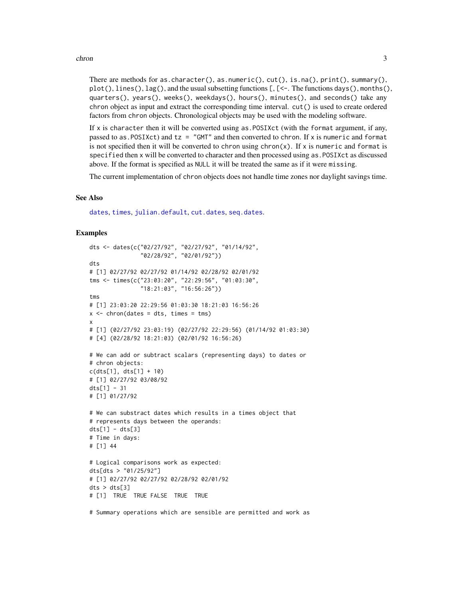#### <span id="page-2-0"></span>chron 3

There are methods for as.character(), as.numeric(),  $cut($ ), is.na(),  $print($ ), summary(),  $plot(), lines(), lag(), and the usual substituting functions [C, C-. The functions days(), months(),$ quarters(), years(), weeks(), weekdays(), hours(), minutes(), and seconds() take any chron object as input and extract the corresponding time interval. cut() is used to create ordered factors from chron objects. Chronological objects may be used with the modeling software.

If  $x$  is character then it will be converted using as POSIXct (with the format argument, if any, passed to as. POSIXct) and  $tz = "GMT"$  and then converted to chron. If x is numeric and format is not specified then it will be converted to chron using  $chron(x)$ . If x is numeric and format is specified then x will be converted to character and then processed using as.POSIXct as discussed above. If the format is specified as NULL it will be treated the same as if it were missing.

The current implementation of chron objects does not handle time zones nor daylight savings time.

#### See Also

[dates](#page-4-1), [times](#page-4-2), [julian.default](#page-5-1), [cut.dates](#page-3-1), [seq.dates](#page-10-1).

#### Examples

```
dts <- dates(c("02/27/92", "02/27/92", "01/14/92",
               "02/28/92", "02/01/92"))
dts
# [1] 02/27/92 02/27/92 01/14/92 02/28/92 02/01/92
tms <- times(c("23:03:20", "22:29:56", "01:03:30",
               "18:21:03", "16:56:26"))
tms
# [1] 23:03:20 22:29:56 01:03:30 18:21:03 16:56:26
x \le - chron(dates = dts, times = tms)
x
# [1] (02/27/92 23:03:19) (02/27/92 22:29:56) (01/14/92 01:03:30)
# [4] (02/28/92 18:21:03) (02/01/92 16:56:26)
# We can add or subtract scalars (representing days) to dates or
# chron objects:
c(dts[1], dts[1] + 10)
# [1] 02/27/92 03/08/92
dts[1] - 31# [1] 01/27/92
# We can substract dates which results in a times object that
# represents days between the operands:
dts[1] - dts[3]# Time in days:
# [1] 44
# Logical comparisons work as expected:
dts[dts > "01/25/92"]
# [1] 02/27/92 02/27/92 02/28/92 02/01/92
dts > dts[3]# [1] TRUE TRUE FALSE TRUE TRUE
```
# Summary operations which are sensible are permitted and work as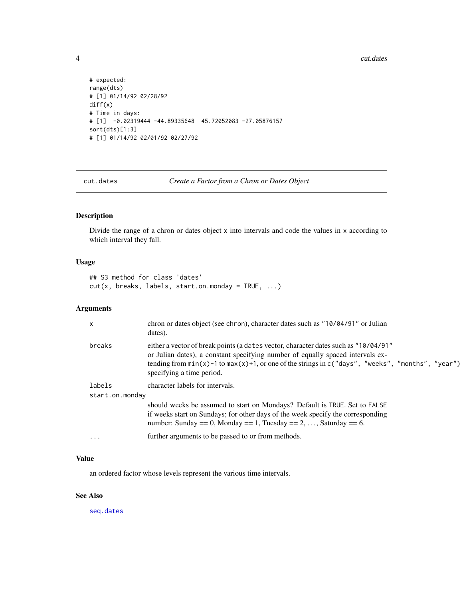4 cut.dates and the control of the control of the cut.dates are cut.dates and the cut.dates of the cut.dates are cut.dates are cut.dates and the cut.dates of the cut.dates are cut.dates are cut.dates are cut.dates are cut.

```
# expected:
range(dts)
# [1] 01/14/92 02/28/92
diff(x)# Time in days:
# [1] -0.02319444 -44.89335648 45.72052083 -27.05876157
sort(dts)[1:3]
# [1] 01/14/92 02/01/92 02/27/92
```
<span id="page-3-1"></span>cut.dates *Create a Factor from a Chron or Dates Object*

# Description

Divide the range of a chron or dates object x into intervals and code the values in x according to which interval they fall.

# Usage

## S3 method for class 'dates' cut(x, breaks, labels, start.on.monday = TRUE, ...)

# Arguments

| $\mathsf{x}$    | chron or dates object (see chron), character dates such as "10/04/91" or Julian<br>dates).                                                                                                                                                                                                                   |
|-----------------|--------------------------------------------------------------------------------------------------------------------------------------------------------------------------------------------------------------------------------------------------------------------------------------------------------------|
| breaks          | either a vector of break points (a dates vector, character dates such as "10/04/91"<br>or Julian dates), a constant specifying number of equally spaced intervals ex-<br>tending from $min(x)$ -1 to $max(x)$ +1, or one of the strings in c("days", "weeks", "months", "year")<br>specifying a time period. |
| labels          | character labels for intervals.                                                                                                                                                                                                                                                                              |
| start.on.monday |                                                                                                                                                                                                                                                                                                              |
|                 | should weeks be assumed to start on Mondays? Default is TRUE. Set to FALSE<br>if weeks start on Sundays; for other days of the week specify the corresponding<br>number: Sunday = $= 0$ , Monday = $= 1$ , Tuesday = $= 2, \ldots$ , Saturday = $= 6$ .                                                      |
| $\cdot$         | further arguments to be passed to or from methods.                                                                                                                                                                                                                                                           |

### Value

an ordered factor whose levels represent the various time intervals.

# See Also

[seq.dates](#page-10-1)

<span id="page-3-0"></span>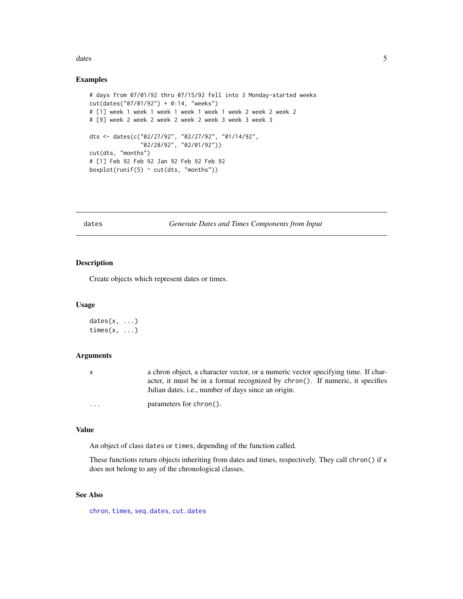#### <span id="page-4-0"></span>dates 5 and 3 and 3 and 3 and 3 and 3 and 3 and 3 and 3 and 3 and 3 and 3 and 3 and 3 and 3 and 3 and 3 and 3 and 3 and 3 and 3 and 3 and 3 and 3 and 3 and 3 and 3 and 3 and 3 and 3 and 3 and 3 and 3 and 3 and 3 and 3 and

#### Examples

```
# days from 07/01/92 thru 07/15/92 fell into 3 Monday-started weeks
cut(dates("07/01/92") + 0:14, "weeks")
# [1] week 1 week 1 week 1 week 1 week 1 week 2 week 2 week 2
# [9] week 2 week 2 week 2 week 2 week 3 week 3 week 3
dts <- dates(c("02/27/92", "02/27/92", "01/14/92",
               "02/28/92", "02/01/92"))
cut(dts, "months")
# [1] Feb 92 Feb 92 Jan 92 Feb 92 Feb 92
boxplot(runif(5) \sim cut(dts, "months"))
```
<span id="page-4-1"></span>dates *Generate Dates and Times Components from Input*

# <span id="page-4-2"></span>Description

Create objects which represent dates or times.

#### Usage

 $dates(x, \ldots)$ times $(x, \ldots)$ 

#### Arguments

| X        | a chron object, a character vector, or a numeric vector specifying time. If char- |
|----------|-----------------------------------------------------------------------------------|
|          | acter, it must be in a format recognized by chron(). If numeric, it specifies     |
|          | Julian dates, <i>i.e.</i> , number of days since an origin.                       |
| $\cdots$ | parameters for chron().                                                           |

### Value

An object of class dates or times, depending of the function called.

These functions return objects inheriting from dates and times, respectively. They call chron() if x does not belong to any of the chronological classes.

# See Also

[chron](#page-1-1), [times](#page-4-2), [seq.dates](#page-10-1), [cut.dates](#page-3-1)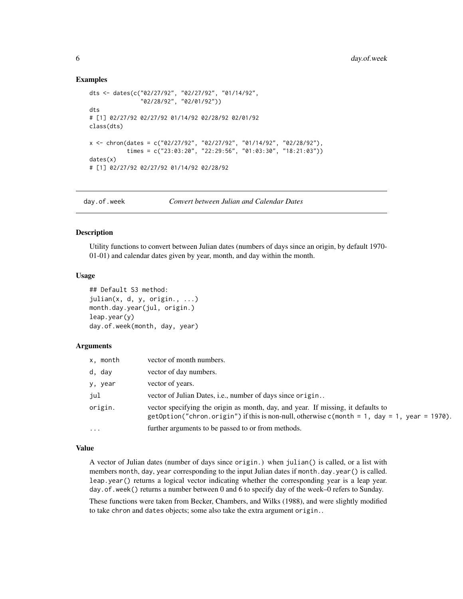#### Examples

```
dts <- dates(c("02/27/92", "02/27/92", "01/14/92",
               "02/28/92", "02/01/92"))
dts
# [1] 02/27/92 02/27/92 01/14/92 02/28/92 02/01/92
class(dts)
x <- chron(dates = c("02/27/92", "02/27/92", "01/14/92", "02/28/92"),
           times = c("23:03:20", "22:29:56", "01:03:30", "18:21:03"))
dates(x)
# [1] 02/27/92 02/27/92 01/14/92 02/28/92
```
day.of.week *Convert between Julian and Calendar Dates*

# <span id="page-5-1"></span>Description

Utility functions to convert between Julian dates (numbers of days since an origin, by default 1970- 01-01) and calendar dates given by year, month, and day within the month.

#### Usage

```
## Default S3 method:
julin(x, d, y, origin., ...)month.day.year(jul, origin.)
leap.year(y)
day.of.week(month, day, year)
```
#### Arguments

| x, month | vector of month numbers.                                                                                                                                                               |
|----------|----------------------------------------------------------------------------------------------------------------------------------------------------------------------------------------|
| d, day   | vector of day numbers.                                                                                                                                                                 |
| y, year  | vector of years.                                                                                                                                                                       |
| jul      | vector of Julian Dates, i.e., number of days since origin                                                                                                                              |
| origin.  | vector specifying the origin as month, day, and year. If missing, it defaults to<br>$getOption("chron. origin")$ if this is non-null, otherwise $c(month = 1, day = 1, year = 1970)$ . |
| $\cdots$ | further arguments to be passed to or from methods.                                                                                                                                     |

### Value

A vector of Julian dates (number of days since origin.) when julian() is called, or a list with members month, day, year corresponding to the input Julian dates if month.day.year() is called. leap.year() returns a logical vector indicating whether the corresponding year is a leap year. day.of.week() returns a number between 0 and 6 to specify day of the week–0 refers to Sunday.

These functions were taken from Becker, Chambers, and Wilks (1988), and were slightly modified to take chron and dates objects; some also take the extra argument origin..

<span id="page-5-0"></span>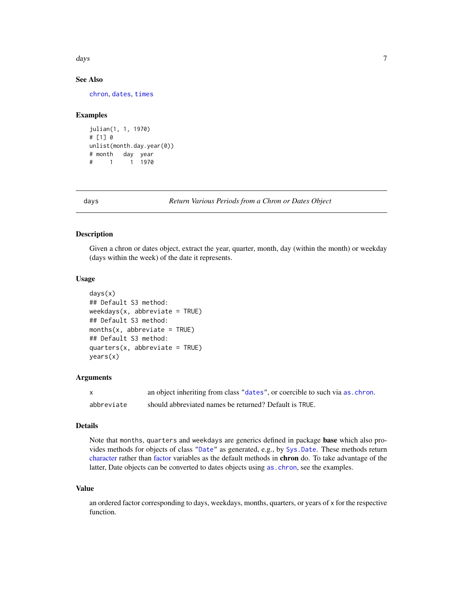<span id="page-6-0"></span>days and the contract of the contract of the contract of the contract of the contract of the contract of the contract of the contract of the contract of the contract of the contract of the contract of the contract of the c

# See Also

[chron](#page-1-1), [dates](#page-4-1), [times](#page-4-2)

#### Examples

```
julian(1, 1, 1970)
# [1] 0
unlist(month.day.year(0))
# month day year
# 1 1 1970
```
<span id="page-6-1"></span>days *Return Various Periods from a Chron or Dates Object*

# <span id="page-6-2"></span>Description

Given a chron or dates object, extract the year, quarter, month, day (within the month) or weekday (days within the week) of the date it represents.

# Usage

```
days(x)
## Default S3 method:
weekdays(x, abbreviate = TRUE)## Default S3 method:
months(x, abbreviate = TRUE)## Default S3 method:
quarters(x, abbreviate = TRUE)
years(x)
```
#### Arguments

| X.         | an object inheriting from class "dates", or coercible to such via as chron. |
|------------|-----------------------------------------------------------------------------|
| abbreviate | should abbreviated names be returned? Default is TRUE.                      |

# Details

Note that months, quarters and weekdays are generics defined in package base which also provides methods for objects of class ["Date"](#page-0-0) as generated, e.g., by [Sys.Date](#page-0-0). These methods return [character](#page-0-0) rather than [factor](#page-0-0) variables as the default methods in chron do. To take advantage of the latter, Date objects can be converted to dates objects using [as.chron](#page-1-2), see the examples.

# Value

an ordered factor corresponding to days, weekdays, months, quarters, or years of x for the respective function.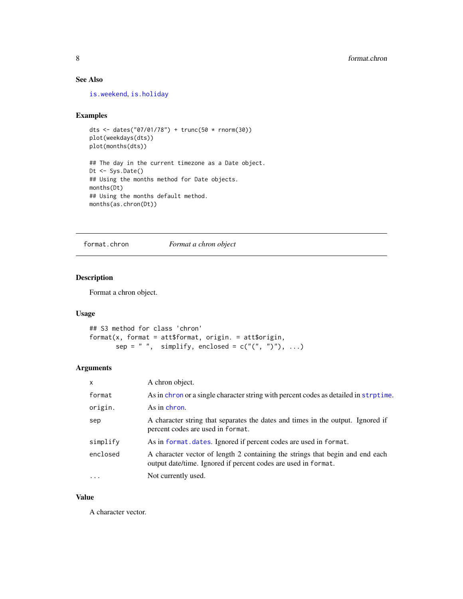# <span id="page-7-0"></span>See Also

[is.weekend](#page-9-1), [is.holiday](#page-9-2)

#### Examples

```
dts <- dates("07/01/78") + trunc(50 * rnorm(30))
plot(weekdays(dts))
plot(months(dts))
## The day in the current timezone as a Date object.
Dt <- Sys.Date()
## Using the months method for Date objects.
months(Dt)
## Using the months default method.
months(as.chron(Dt))
```
format.chron *Format a chron object*

#### Description

Format a chron object.

#### Usage

```
## S3 method for class 'chron'
format(x, format = att$format, origin. = att$origin,
      sep = " ", simplify, enclosed = c("("", ")"), ...
```
# Arguments

| $\mathsf{x}$ | A chron object.                                                                                                                                 |
|--------------|-------------------------------------------------------------------------------------------------------------------------------------------------|
| format       | As in chron or a single character string with percent codes as detailed in strptime.                                                            |
| origin.      | As in chron.                                                                                                                                    |
| sep          | A character string that separates the dates and times in the output. Ignored if<br>percent codes are used in format.                            |
| simplify     | As in format. dates. Ignored if percent codes are used in format.                                                                               |
| enclosed     | A character vector of length 2 containing the strings that begin and end each<br>output date/time. Ignored if percent codes are used in format. |
| $\cdots$     | Not currently used.                                                                                                                             |

#### Value

A character vector.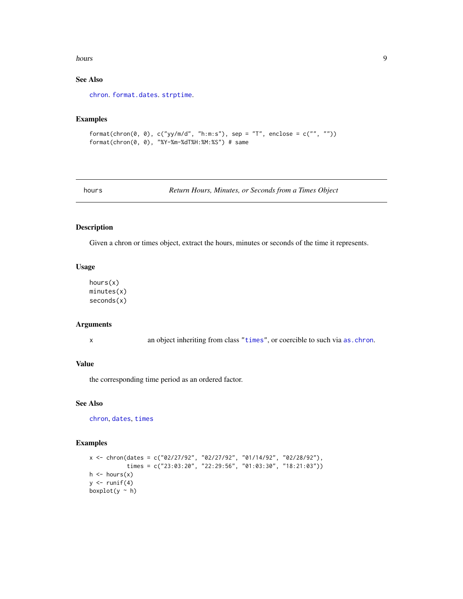#### <span id="page-8-0"></span>hours **9**

# See Also

[chron](#page-1-1). [format.dates](#page-4-2). [strptime](#page-0-0).

# Examples

```
format(chron(0, 0), c("yy/m/d", "h:m:s"), sep = "T", enclose = c("", ""))
format(chron(0, 0), "%Y-%m-%dT%H:%M:%S") # same
```
hours *Return Hours, Minutes, or Seconds from a Times Object*

#### Description

Given a chron or times object, extract the hours, minutes or seconds of the time it represents.

#### Usage

hours(x) minutes(x) seconds(x)

# Arguments

x an object inheriting from class ["times"](#page-4-2), or coercible to such via [as.chron](#page-1-2).

# Value

the corresponding time period as an ordered factor.

#### See Also

[chron](#page-1-1), [dates](#page-4-1), [times](#page-4-2)

#### Examples

```
x <- chron(dates = c("02/27/92", "02/27/92", "01/14/92", "02/28/92"),
            times = c("23:03:20", "22:29:56", "01:03:30", "18:21:03"))
h \leftarrow hours(x)y \leftarrow runif(4)boxplot(y \sim h)
```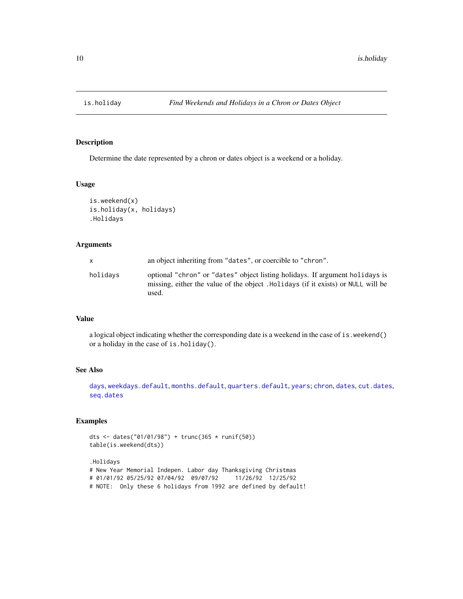<span id="page-9-2"></span><span id="page-9-0"></span>

## <span id="page-9-1"></span>Description

Determine the date represented by a chron or dates object is a weekend or a holiday.

# Usage

```
is.weekend(x)
is.holiday(x, holidays)
.Holidays
```
#### Arguments

| x        | an object inheriting from "dates", or coercible to "chron".                                                                                                               |
|----------|---------------------------------------------------------------------------------------------------------------------------------------------------------------------------|
| holidays | optional "chron" or "dates" object listing holidays. If argument holidays is<br>missing, either the value of the object. Holidays (if it exists) or NULL will be<br>used. |

# Value

a logical object indicating whether the corresponding date is a weekend in the case of is.weekend() or a holiday in the case of is.holiday().

# See Also

[days](#page-6-1), [weekdays.default](#page-6-2), [months.default](#page-6-2), [quarters.default](#page-6-2), [years](#page-6-2); [chron](#page-1-1), [dates](#page-4-1), [cut.dates](#page-3-1), [seq.dates](#page-10-1)

# Examples

```
dts <- dates("01/01/98") + trunc(365 * runif(50))
table(is.weekend(dts))
```
.Holidays # New Year Memorial Indepen. Labor day Thanksgiving Christmas # 01/01/92 05/25/92 07/04/92 09/07/92 11/26/92 12/25/92 # NOTE: Only these 6 holidays from 1992 are defined by default!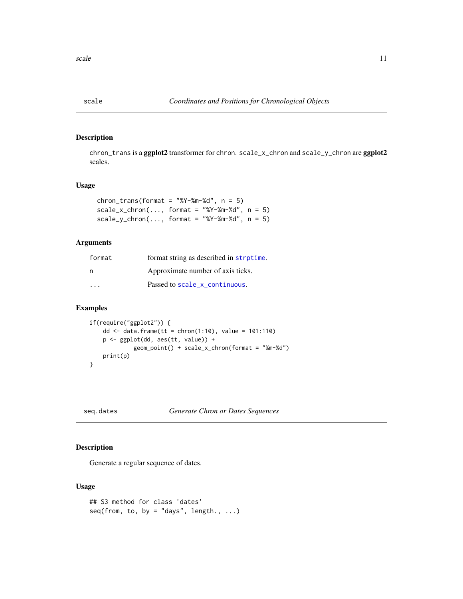<span id="page-10-0"></span>

# Description

chron\_trans is a ggplot2 transformer for chron. scale\_x\_chron and scale\_y\_chron are ggplot2 scales.

#### Usage

| chron_trans(format = "%Y-%m-%d", $n = 5$ )                                                |  |  |
|-------------------------------------------------------------------------------------------|--|--|
| $scale_x_{\text{c}} + \text{chron}(,\text{format} = \text{``\%Y-\%m-\%d",}\text{ n = 5)}$ |  |  |
| $scale_y_{\text{c}}$ scale_y_chron(, format = "%Y-%m-%d", n = 5)                          |  |  |

# Arguments

| format | format string as described in strptime. |
|--------|-----------------------------------------|
| n      | Approximate number of axis ticks.       |
| .      | Passed to scale x continuous.           |

# Examples

```
if(require("ggplot2")) {
   dd <- data.frame(tt = chron(1:10), value = 101:110)
   p <- ggplot(dd, aes(tt, value)) +
             geom_point() + scale_x_chron(format = "%m-%d")
   print(p)
}
```
<span id="page-10-1"></span>seq.dates *Generate Chron or Dates Sequences*

# Description

Generate a regular sequence of dates.

# Usage

```
## S3 method for class 'dates'
seq(from, to, by = "days", length., ...)
```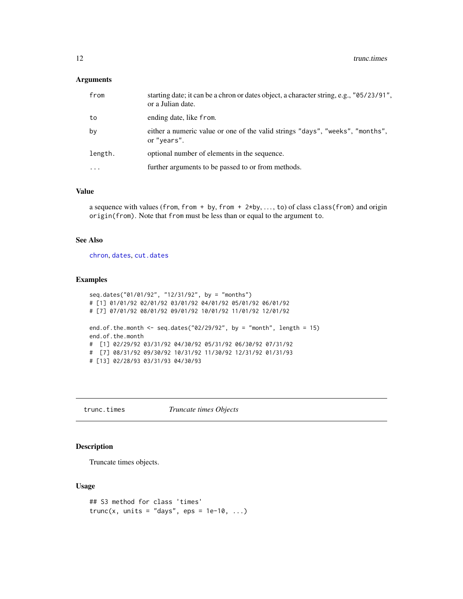#### <span id="page-11-0"></span>Arguments

| from     | starting date; it can be a chron or dates object, a character string, e.g., "05/23/91",<br>or a Julian date. |
|----------|--------------------------------------------------------------------------------------------------------------|
| to       | ending date, like from.                                                                                      |
| by       | either a numeric value or one of the valid strings "days", "weeks", "months",<br>or "years".                 |
| length.  | optional number of elements in the sequence.                                                                 |
| $\cdots$ | further arguments to be passed to or from methods.                                                           |
|          |                                                                                                              |

# Value

a sequence with values (from, from + by, from + 2\*by, ..., to) of class class(from) and origin origin(from). Note that from must be less than or equal to the argument to.

#### See Also

[chron](#page-1-1), [dates](#page-4-1), [cut.dates](#page-3-1)

# Examples

```
seq.dates("01/01/92", "12/31/92", by = "months")
# [1] 01/01/92 02/01/92 03/01/92 04/01/92 05/01/92 06/01/92
# [7] 07/01/92 08/01/92 09/01/92 10/01/92 11/01/92 12/01/92
end.of.the.month <- seq.dates("02/29/92", by = "month", length = 15)
end.of.the.month
# [1] 02/29/92 03/31/92 04/30/92 05/31/92 06/30/92 07/31/92
# [7] 08/31/92 09/30/92 10/31/92 11/30/92 12/31/92 01/31/93
# [13] 02/28/93 03/31/93 04/30/93
```
trunc.times *Truncate times Objects*

#### Description

Truncate times objects.

### Usage

```
## S3 method for class 'times'
trunc(x, units = "days", eps = 1e-10, ...)
```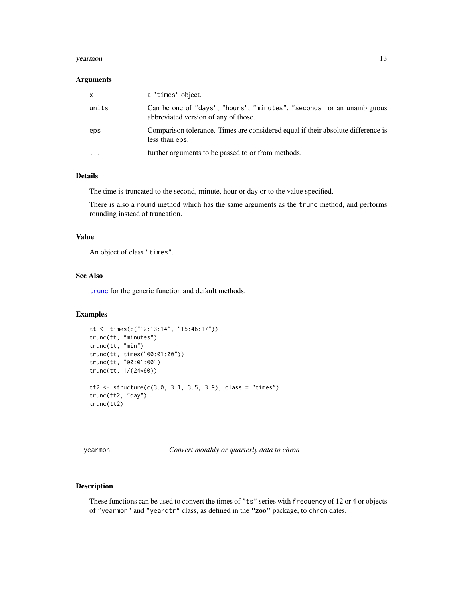#### <span id="page-12-0"></span>yearmon and the set of the set of the set of the set of the set of the set of the set of the set of the set of the set of the set of the set of the set of the set of the set of the set of the set of the set of the set of t

#### **Arguments**

| X         | a "times" object.                                                                                             |
|-----------|---------------------------------------------------------------------------------------------------------------|
| units     | Can be one of "days", "hours", "minutes", "seconds" or an unambiguous<br>abbreviated version of any of those. |
| eps       | Comparison tolerance. Times are considered equal if their absolute difference is<br>less than eps.            |
| $\ddotsc$ | further arguments to be passed to or from methods.                                                            |

#### Details

The time is truncated to the second, minute, hour or day or to the value specified.

There is also a round method which has the same arguments as the trunc method, and performs rounding instead of truncation.

# Value

An object of class "times".

### See Also

[trunc](#page-0-0) for the generic function and default methods.

#### Examples

```
tt <- times(c("12:13:14", "15:46:17"))
trunc(tt, "minutes")
trunc(tt, "min")
trunc(tt, times("00:01:00"))
trunc(tt, "00:01:00")
trunc(tt, 1/(24*60))
tt2 <- structure(c(3.0, 3.1, 3.5, 3.9), class = "times")
trunc(tt2, "day")
trunc(tt2)
```
<span id="page-12-1"></span>yearmon *Convert monthly or quarterly data to chron*

# Description

These functions can be used to convert the times of "ts" series with frequency of 12 or 4 or objects of "yearmon" and "yearqtr" class, as defined in the "zoo" package, to chron dates.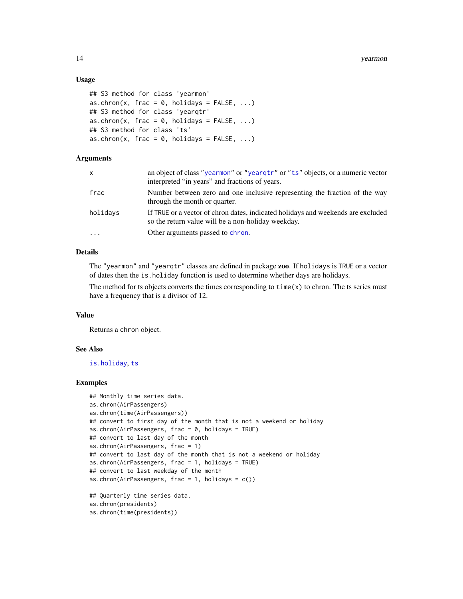#### Usage

```
## S3 method for class 'yearmon'
as.chron(x, frac = 0, holidays = FALSE, ...)
## S3 method for class 'yearqtr'
as.chron(x, frac = 0, holidays = FALSE, ...)
## S3 method for class 'ts'
as.chron(x, frac = 0, holidays = FALSE, ...)
```
### Arguments

| x        | an object of class "yearmon" or "yeargtr" or "ts" objects, or a numeric vector<br>interpreted "in years" and fractions of years.       |
|----------|----------------------------------------------------------------------------------------------------------------------------------------|
| frac     | Number between zero and one inclusive representing the fraction of the way<br>through the month or quarter.                            |
| holidays | If TRUE or a vector of chron dates, indicated holidays and weekends are excluded<br>so the return value will be a non-holiday weekday. |
| .        | Other arguments passed to chron.                                                                                                       |

# Details

The "yearmon" and "yearqtr" classes are defined in package zoo. If holidays is TRUE or a vector of dates then the is.holiday function is used to determine whether days are holidays.

The method for ts objects converts the times corresponding to  $time(x)$  to chron. The ts series must have a frequency that is a divisor of 12.

#### Value

Returns a chron object.

#### See Also

[is.holiday](#page-9-2), [ts](#page-0-0)

#### Examples

```
## Monthly time series data.
as.chron(AirPassengers)
as.chron(time(AirPassengers))
## convert to first day of the month that is not a weekend or holiday
as.chron(AirPassengers, frac = 0, holidays = TRUE)
## convert to last day of the month
as.chron(AirPassengers, frac = 1)
## convert to last day of the month that is not a weekend or holiday
as.chron(AirPassengers, frac = 1, holidays = TRUE)
## convert to last weekday of the month
as.chron(AirPassengers, frac = 1, holidays = c())
## Quarterly time series data.
as.chron(presidents)
as.chron(time(presidents))
```
<span id="page-13-0"></span>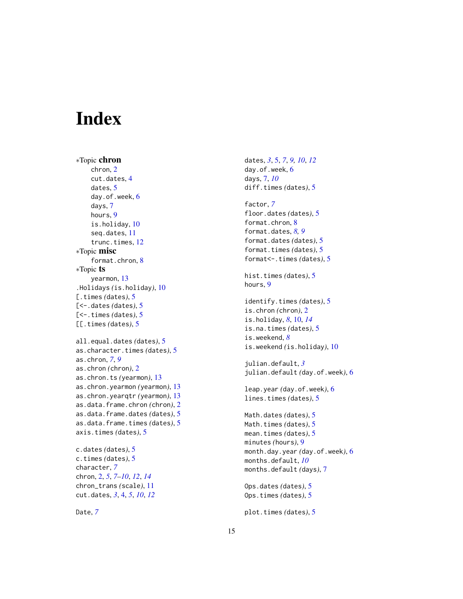# <span id="page-14-0"></span>Index

∗Topic chron chron, [2](#page-1-0) cut.dates, [4](#page-3-0) dates, [5](#page-4-0) day.of.week, [6](#page-5-0) days, [7](#page-6-0) hours, [9](#page-8-0) is.holiday, [10](#page-9-0) seq.dates, [11](#page-10-0) trunc.times, [12](#page-11-0) ∗Topic misc format.chron, [8](#page-7-0) ∗Topic ts yearmon, [13](#page-12-0) .Holidays *(*is.holiday*)*, [10](#page-9-0) [.times *(*dates*)*, [5](#page-4-0) [<-.dates *(*dates*)*, [5](#page-4-0) [<-.times *(*dates*)*, [5](#page-4-0) [[.times *(*dates*)*, [5](#page-4-0) all.equal.dates *(*dates*)*, [5](#page-4-0) as.character.times *(*dates*)*, [5](#page-4-0) as.chron, *[7](#page-6-0)*, *[9](#page-8-0)* as.chron *(*chron*)*, [2](#page-1-0) as.chron.ts *(*yearmon*)*, [13](#page-12-0) as.chron.yearmon *(*yearmon*)*, [13](#page-12-0) as.chron.yearqtr *(*yearmon*)*, [13](#page-12-0) as.data.frame.chron *(*chron*)*, [2](#page-1-0) as.data.frame.dates *(*dates*)*, [5](#page-4-0) as.data.frame.times *(*dates*)*, [5](#page-4-0) axis.times *(*dates*)*, [5](#page-4-0) c.dates *(*dates*)*, [5](#page-4-0) c.times *(*dates*)*, [5](#page-4-0) character, *[7](#page-6-0)* chron, [2,](#page-1-0) *[5](#page-4-0)*, *[7](#page-6-0)[–10](#page-9-0)*, *[12](#page-11-0)*, *[14](#page-13-0)* chron\_trans *(*scale*)*, [11](#page-10-0)

Date, *[7](#page-6-0)*

cut.dates, *[3](#page-2-0)*, [4,](#page-3-0) *[5](#page-4-0)*, *[10](#page-9-0)*, *[12](#page-11-0)*

dates, *[3](#page-2-0)*, [5,](#page-4-0) *[7](#page-6-0)*, *[9,](#page-8-0) [10](#page-9-0)*, *[12](#page-11-0)* day.of.week, [6](#page-5-0) days, [7,](#page-6-0) *[10](#page-9-0)* diff.times *(*dates*)*, [5](#page-4-0)

factor, *[7](#page-6-0)* floor.dates *(*dates*)*, [5](#page-4-0) format.chron, [8](#page-7-0) format.dates, *[8,](#page-7-0) [9](#page-8-0)* format.dates *(*dates*)*, [5](#page-4-0) format.times *(*dates*)*, [5](#page-4-0) format<-.times *(*dates*)*, [5](#page-4-0) hist.times *(*dates*)*, [5](#page-4-0) hours, [9](#page-8-0) identify.times *(*dates*)*, [5](#page-4-0) is.chron *(*chron*)*, [2](#page-1-0) is.holiday, *[8](#page-7-0)*, [10,](#page-9-0) *[14](#page-13-0)* is.na.times *(*dates*)*, [5](#page-4-0) is.weekend, *[8](#page-7-0)* is.weekend *(*is.holiday*)*, [10](#page-9-0)

julian.default, *[3](#page-2-0)* julian.default *(*day.of.week*)*, [6](#page-5-0)

leap.year *(*day.of.week*)*, [6](#page-5-0) lines.times *(*dates*)*, [5](#page-4-0)

Math.dates *(*dates*)*, [5](#page-4-0) Math.times *(*dates*)*, [5](#page-4-0) mean.times *(*dates*)*, [5](#page-4-0) minutes *(*hours*)*, [9](#page-8-0) month.day.year *(*day.of.week*)*, [6](#page-5-0) months.default, *[10](#page-9-0)* months.default *(*days*)*, [7](#page-6-0)

Ops.dates *(*dates*)*, [5](#page-4-0) Ops.times *(*dates*)*, [5](#page-4-0)

plot.times *(*dates*)*, [5](#page-4-0)